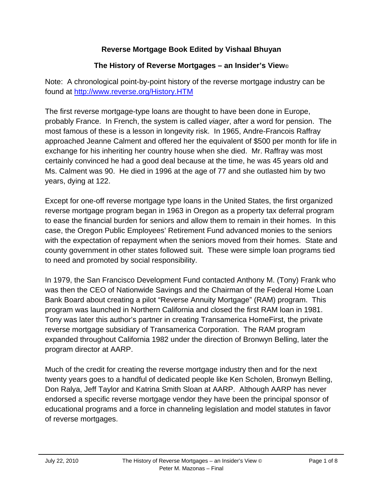## **Reverse Mortgage Book Edited by Vishaal Bhuyan**

## **The History of Reverse Mortgages – an Insider's View©**

Note: A chronological point-by-point history of the reverse mortgage industry can be found at http://www.reverse.org/History.HTM

The first reverse mortgage-type loans are thought to have been done in Europe, probably France. In French, the system is called *viager*, after a word for pension. The most famous of these is a lesson in longevity risk. In 1965, Andre-Francois Raffray approached Jeanne Calment and offered her the equivalent of \$500 per month for life in exchange for his inheriting her country house when she died. Mr. Raffray was most certainly convinced he had a good deal because at the time, he was 45 years old and Ms. Calment was 90. He died in 1996 at the age of 77 and she outlasted him by two years, dying at 122.

Except for one-off reverse mortgage type loans in the United States, the first organized reverse mortgage program began in 1963 in Oregon as a property tax deferral program to ease the financial burden for seniors and allow them to remain in their homes. In this case, the Oregon Public Employees' Retirement Fund advanced monies to the seniors with the expectation of repayment when the seniors moved from their homes. State and county government in other states followed suit. These were simple loan programs tied to need and promoted by social responsibility.

In 1979, the San Francisco Development Fund contacted Anthony M. (Tony) Frank who was then the CEO of Nationwide Savings and the Chairman of the Federal Home Loan Bank Board about creating a pilot "Reverse Annuity Mortgage" (RAM) program. This program was launched in Northern California and closed the first RAM loan in 1981. Tony was later this author's partner in creating Transamerica HomeFirst, the private reverse mortgage subsidiary of Transamerica Corporation. The RAM program expanded throughout California 1982 under the direction of Bronwyn Belling, later the program director at AARP.

Much of the credit for creating the reverse mortgage industry then and for the next twenty years goes to a handful of dedicated people like Ken Scholen, Bronwyn Belling, Don Ralya, Jeff Taylor and Katrina Smith Sloan at AARP. Although AARP has never endorsed a specific reverse mortgage vendor they have been the principal sponsor of educational programs and a force in channeling legislation and model statutes in favor of reverse mortgages.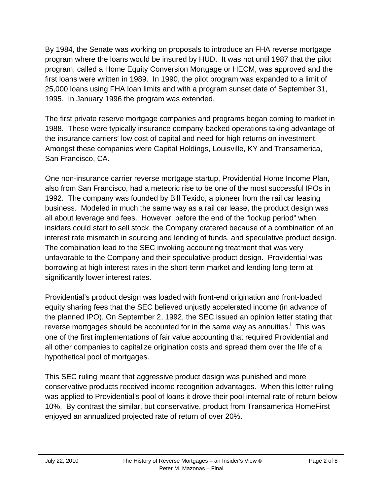By 1984, the Senate was working on proposals to introduce an FHA reverse mortgage program where the loans would be insured by HUD. It was not until 1987 that the pilot program, called a Home Equity Conversion Mortgage or HECM, was approved and the first loans were written in 1989. In 1990, the pilot program was expanded to a limit of 25,000 loans using FHA loan limits and with a program sunset date of September 31, 1995. In January 1996 the program was extended.

The first private reserve mortgage companies and programs began coming to market in 1988. These were typically insurance company-backed operations taking advantage of the insurance carriers' low cost of capital and need for high returns on investment. Amongst these companies were Capital Holdings, Louisville, KY and Transamerica, San Francisco, CA.

One non-insurance carrier reverse mortgage startup, Providential Home Income Plan, also from San Francisco, had a meteoric rise to be one of the most successful IPOs in 1992. The company was founded by Bill Texido, a pioneer from the rail car leasing business. Modeled in much the same way as a rail car lease, the product design was all about leverage and fees. However, before the end of the "lockup period" when insiders could start to sell stock, the Company cratered because of a combination of an interest rate mismatch in sourcing and lending of funds, and speculative product design. The combination lead to the SEC invoking accounting treatment that was very unfavorable to the Company and their speculative product design. Providential was borrowing at high interest rates in the short-term market and lending long-term at significantly lower interest rates.

Providential's product design was loaded with front-end origination and front-loaded equity sharing fees that the SEC believed unjustly accelerated income (in advance of the planned IPO). On September 2, 1992, the SEC issued an opinion letter stating that reverse mortgages should be accounted for in the same way as annuities.<sup>i</sup> This was one of the first implementations of fair value accounting that required Providential and all other companies to capitalize origination costs and spread them over the life of a hypothetical pool of mortgages.

This SEC ruling meant that aggressive product design was punished and more conservative products received income recognition advantages. When this letter ruling was applied to Providential's pool of loans it drove their pool internal rate of return below 10%. By contrast the similar, but conservative, product from Transamerica HomeFirst enjoyed an annualized projected rate of return of over 20%.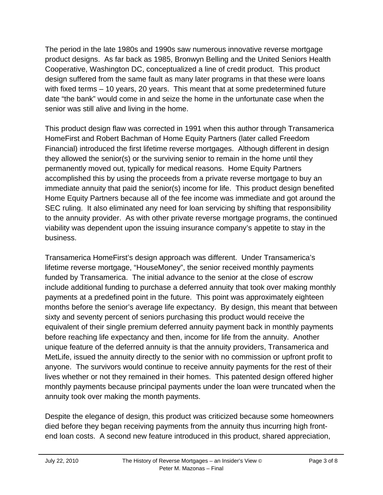The period in the late 1980s and 1990s saw numerous innovative reverse mortgage product designs. As far back as 1985, Bronwyn Belling and the United Seniors Health Cooperative, Washington DC, conceptualized a line of credit product. This product design suffered from the same fault as many later programs in that these were loans with fixed terms – 10 years, 20 years. This meant that at some predetermined future date "the bank" would come in and seize the home in the unfortunate case when the senior was still alive and living in the home.

This product design flaw was corrected in 1991 when this author through Transamerica HomeFirst and Robert Bachman of Home Equity Partners (later called Freedom Financial) introduced the first lifetime reverse mortgages. Although different in design they allowed the senior(s) or the surviving senior to remain in the home until they permanently moved out, typically for medical reasons. Home Equity Partners accomplished this by using the proceeds from a private reverse mortgage to buy an immediate annuity that paid the senior(s) income for life. This product design benefited Home Equity Partners because all of the fee income was immediate and got around the SEC ruling. It also eliminated any need for loan servicing by shifting that responsibility to the annuity provider. As with other private reverse mortgage programs, the continued viability was dependent upon the issuing insurance company's appetite to stay in the business.

Transamerica HomeFirst's design approach was different. Under Transamerica's lifetime reverse mortgage, "HouseMoney", the senior received monthly payments funded by Transamerica. The initial advance to the senior at the close of escrow include additional funding to purchase a deferred annuity that took over making monthly payments at a predefined point in the future. This point was approximately eighteen months before the senior's average life expectancy. By design, this meant that between sixty and seventy percent of seniors purchasing this product would receive the equivalent of their single premium deferred annuity payment back in monthly payments before reaching life expectancy and then, income for life from the annuity. Another unique feature of the deferred annuity is that the annuity providers, Transamerica and MetLife, issued the annuity directly to the senior with no commission or upfront profit to anyone. The survivors would continue to receive annuity payments for the rest of their lives whether or not they remained in their homes. This patented design offered higher monthly payments because principal payments under the loan were truncated when the annuity took over making the month payments.

Despite the elegance of design, this product was criticized because some homeowners died before they began receiving payments from the annuity thus incurring high frontend loan costs. A second new feature introduced in this product, shared appreciation,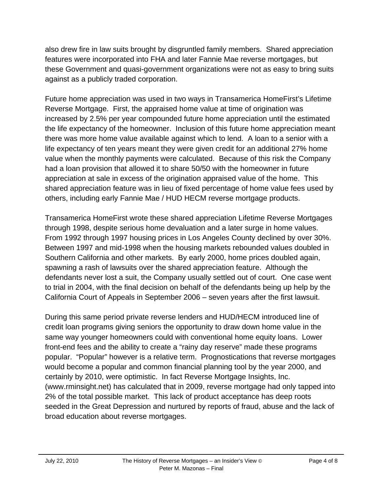also drew fire in law suits brought by disgruntled family members. Shared appreciation features were incorporated into FHA and later Fannie Mae reverse mortgages, but these Government and quasi-government organizations were not as easy to bring suits against as a publicly traded corporation.

Future home appreciation was used in two ways in Transamerica HomeFirst's Lifetime Reverse Mortgage. First, the appraised home value at time of origination was increased by 2.5% per year compounded future home appreciation until the estimated the life expectancy of the homeowner. Inclusion of this future home appreciation meant there was more home value available against which to lend. A loan to a senior with a life expectancy of ten years meant they were given credit for an additional 27% home value when the monthly payments were calculated. Because of this risk the Company had a loan provision that allowed it to share 50/50 with the homeowner in future appreciation at sale in excess of the origination appraised value of the home. This shared appreciation feature was in lieu of fixed percentage of home value fees used by others, including early Fannie Mae / HUD HECM reverse mortgage products.

Transamerica HomeFirst wrote these shared appreciation Lifetime Reverse Mortgages through 1998, despite serious home devaluation and a later surge in home values. From 1992 through 1997 housing prices in Los Angeles County declined by over 30%. Between 1997 and mid-1998 when the housing markets rebounded values doubled in Southern California and other markets. By early 2000, home prices doubled again, spawning a rash of lawsuits over the shared appreciation feature. Although the defendants never lost a suit, the Company usually settled out of court. One case went to trial in 2004, with the final decision on behalf of the defendants being up help by the California Court of Appeals in September 2006 – seven years after the first lawsuit.

During this same period private reverse lenders and HUD/HECM introduced line of credit loan programs giving seniors the opportunity to draw down home value in the same way younger homeowners could with conventional home equity loans. Lower front-end fees and the ability to create a "rainy day reserve" made these programs popular. "Popular" however is a relative term. Prognostications that reverse mortgages would become a popular and common financial planning tool by the year 2000, and certainly by 2010, were optimistic. In fact Reverse Mortgage Insights, Inc. (www.rminsight.net) has calculated that in 2009, reverse mortgage had only tapped into 2% of the total possible market. This lack of product acceptance has deep roots seeded in the Great Depression and nurtured by reports of fraud, abuse and the lack of broad education about reverse mortgages.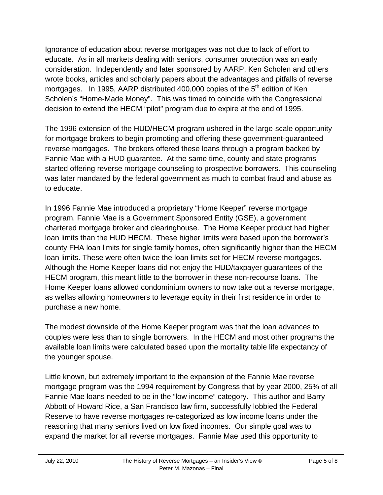Ignorance of education about reverse mortgages was not due to lack of effort to educate. As in all markets dealing with seniors, consumer protection was an early consideration. Independently and later sponsored by AARP, Ken Scholen and others wrote books, articles and scholarly papers about the advantages and pitfalls of reverse mortgages. In 1995, AARP distributed 400,000 copies of the  $5<sup>th</sup>$  edition of Ken Scholen's "Home-Made Money". This was timed to coincide with the Congressional decision to extend the HECM "pilot" program due to expire at the end of 1995.

The 1996 extension of the HUD/HECM program ushered in the large-scale opportunity for mortgage brokers to begin promoting and offering these government-guaranteed reverse mortgages. The brokers offered these loans through a program backed by Fannie Mae with a HUD guarantee. At the same time, county and state programs started offering reverse mortgage counseling to prospective borrowers. This counseling was later mandated by the federal government as much to combat fraud and abuse as to educate.

In 1996 Fannie Mae introduced a proprietary "Home Keeper" reverse mortgage program. Fannie Mae is a Government Sponsored Entity (GSE), a government chartered mortgage broker and clearinghouse. The Home Keeper product had higher loan limits than the HUD HECM. These higher limits were based upon the borrower's county FHA loan limits for single family homes, often significantly higher than the HECM loan limits. These were often twice the loan limits set for HECM reverse mortgages. Although the Home Keeper loans did not enjoy the HUD/taxpayer guarantees of the HECM program, this meant little to the borrower in these non-recourse loans. The Home Keeper loans allowed condominium owners to now take out a reverse mortgage, as wellas allowing homeowners to leverage equity in their first residence in order to purchase a new home.

The modest downside of the Home Keeper program was that the loan advances to couples were less than to single borrowers. In the HECM and most other programs the available loan limits were calculated based upon the mortality table life expectancy of the younger spouse.

Little known, but extremely important to the expansion of the Fannie Mae reverse mortgage program was the 1994 requirement by Congress that by year 2000, 25% of all Fannie Mae loans needed to be in the "low income" category. This author and Barry Abbott of Howard Rice, a San Francisco law firm, successfully lobbied the Federal Reserve to have reverse mortgages re-categorized as low income loans under the reasoning that many seniors lived on low fixed incomes. Our simple goal was to expand the market for all reverse mortgages. Fannie Mae used this opportunity to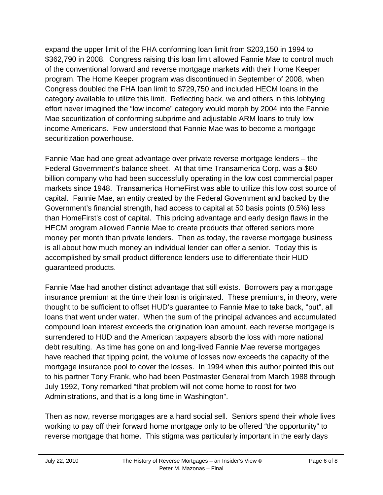expand the upper limit of the FHA conforming loan limit from \$203,150 in 1994 to \$362,790 in 2008. Congress raising this loan limit allowed Fannie Mae to control much of the conventional forward and reverse mortgage markets with their Home Keeper program. The Home Keeper program was discontinued in September of 2008, when Congress doubled the FHA loan limit to \$729,750 and included HECM loans in the category available to utilize this limit. Reflecting back, we and others in this lobbying effort never imagined the "low income" category would morph by 2004 into the Fannie Mae securitization of conforming subprime and adjustable ARM loans to truly low income Americans. Few understood that Fannie Mae was to become a mortgage securitization powerhouse.

Fannie Mae had one great advantage over private reverse mortgage lenders – the Federal Government's balance sheet. At that time Transamerica Corp. was a \$60 billion company who had been successfully operating in the low cost commercial paper markets since 1948. Transamerica HomeFirst was able to utilize this low cost source of capital. Fannie Mae, an entity created by the Federal Government and backed by the Government's financial strength, had access to capital at 50 basis points (0.5%) less than HomeFirst's cost of capital. This pricing advantage and early design flaws in the HECM program allowed Fannie Mae to create products that offered seniors more money per month than private lenders. Then as today, the reverse mortgage business is all about how much money an individual lender can offer a senior. Today this is accomplished by small product difference lenders use to differentiate their HUD guaranteed products.

Fannie Mae had another distinct advantage that still exists. Borrowers pay a mortgage insurance premium at the time their loan is originated. These premiums, in theory, were thought to be sufficient to offset HUD's guarantee to Fannie Mae to take back, "put", all loans that went under water. When the sum of the principal advances and accumulated compound loan interest exceeds the origination loan amount, each reverse mortgage is surrendered to HUD and the American taxpayers absorb the loss with more national debt resulting. As time has gone on and long-lived Fannie Mae reverse mortgages have reached that tipping point, the volume of losses now exceeds the capacity of the mortgage insurance pool to cover the losses. In 1994 when this author pointed this out to his partner Tony Frank, who had been Postmaster General from March 1988 through July 1992, Tony remarked "that problem will not come home to roost for two Administrations, and that is a long time in Washington".

Then as now, reverse mortgages are a hard social sell. Seniors spend their whole lives working to pay off their forward home mortgage only to be offered "the opportunity" to reverse mortgage that home. This stigma was particularly important in the early days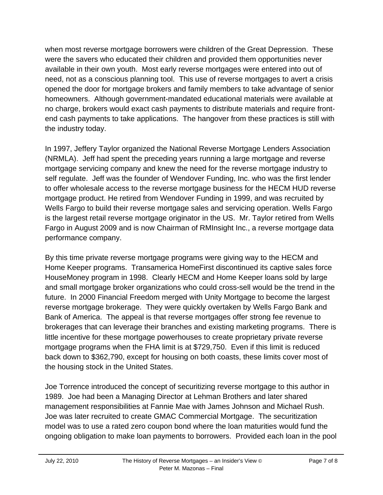when most reverse mortgage borrowers were children of the Great Depression. These were the savers who educated their children and provided them opportunities never available in their own youth. Most early reverse mortgages were entered into out of need, not as a conscious planning tool. This use of reverse mortgages to avert a crisis opened the door for mortgage brokers and family members to take advantage of senior homeowners. Although government-mandated educational materials were available at no charge, brokers would exact cash payments to distribute materials and require frontend cash payments to take applications. The hangover from these practices is still with the industry today.

In 1997, Jeffery Taylor organized the National Reverse Mortgage Lenders Association (NRMLA). Jeff had spent the preceding years running a large mortgage and reverse mortgage servicing company and knew the need for the reverse mortgage industry to self regulate. Jeff was the founder of Wendover Funding, Inc. who was the first lender to offer wholesale access to the reverse mortgage business for the HECM HUD reverse mortgage product. He retired from Wendover Funding in 1999, and was recruited by Wells Fargo to build their reverse mortgage sales and servicing operation. Wells Fargo is the largest retail reverse mortgage originator in the US. Mr. Taylor retired from Wells Fargo in August 2009 and is now Chairman of RMInsight Inc., a reverse mortgage data performance company.

By this time private reverse mortgage programs were giving way to the HECM and Home Keeper programs. Transamerica HomeFirst discontinued its captive sales force HouseMoney program in 1998. Clearly HECM and Home Keeper loans sold by large and small mortgage broker organizations who could cross-sell would be the trend in the future. In 2000 Financial Freedom merged with Unity Mortgage to become the largest reverse mortgage brokerage. They were quickly overtaken by Wells Fargo Bank and Bank of America. The appeal is that reverse mortgages offer strong fee revenue to brokerages that can leverage their branches and existing marketing programs. There is little incentive for these mortgage powerhouses to create proprietary private reverse mortgage programs when the FHA limit is at \$729,750. Even if this limit is reduced back down to \$362,790, except for housing on both coasts, these limits cover most of the housing stock in the United States.

Joe Torrence introduced the concept of securitizing reverse mortgage to this author in 1989. Joe had been a Managing Director at Lehman Brothers and later shared management responsibilities at Fannie Mae with James Johnson and Michael Rush. Joe was later recruited to create GMAC Commercial Mortgage. The securitization model was to use a rated zero coupon bond where the loan maturities would fund the ongoing obligation to make loan payments to borrowers. Provided each loan in the pool